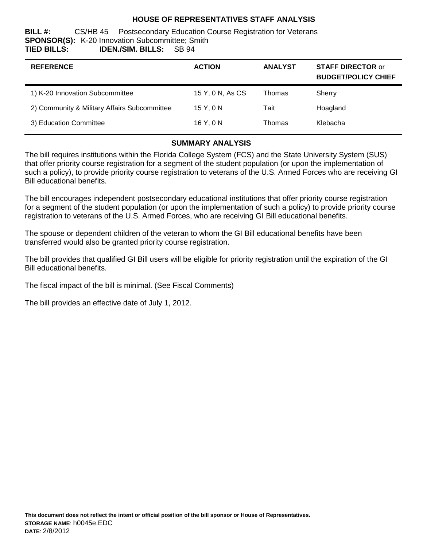# **HOUSE OF REPRESENTATIVES STAFF ANALYSIS**

**BILL #:** CS/HB 45 Postsecondary Education Course Registration for Veterans **SPONSOR(S):** K-20 Innovation Subcommittee; Smith **TIED BILLS: IDEN./SIM. BILLS:** SB 94

| <b>REFERENCE</b>                             | <b>ACTION</b>    | <b>ANALYST</b> | <b>STAFF DIRECTOR or</b><br><b>BUDGET/POLICY CHIEF</b> |
|----------------------------------------------|------------------|----------------|--------------------------------------------------------|
| 1) K-20 Innovation Subcommittee              | 15 Y, 0 N, As CS | Thomas         | Sherry                                                 |
| 2) Community & Military Affairs Subcommittee | 15Y.0N           | Tait           | Hoagland                                               |
| 3) Education Committee                       | 16 Y.ON          | Thomas         | Klebacha                                               |

### **SUMMARY ANALYSIS**

The bill requires institutions within the Florida College System (FCS) and the State University System (SUS) that offer priority course registration for a segment of the student population (or upon the implementation of such a policy), to provide priority course registration to veterans of the U.S. Armed Forces who are receiving GI Bill educational benefits.

The bill encourages independent postsecondary educational institutions that offer priority course registration for a segment of the student population (or upon the implementation of such a policy) to provide priority course registration to veterans of the U.S. Armed Forces, who are receiving GI Bill educational benefits.

The spouse or dependent children of the veteran to whom the GI Bill educational benefits have been transferred would also be granted priority course registration.

The bill provides that qualified GI Bill users will be eligible for priority registration until the expiration of the GI Bill educational benefits.

The fiscal impact of the bill is minimal. (See Fiscal Comments)

The bill provides an effective date of July 1, 2012.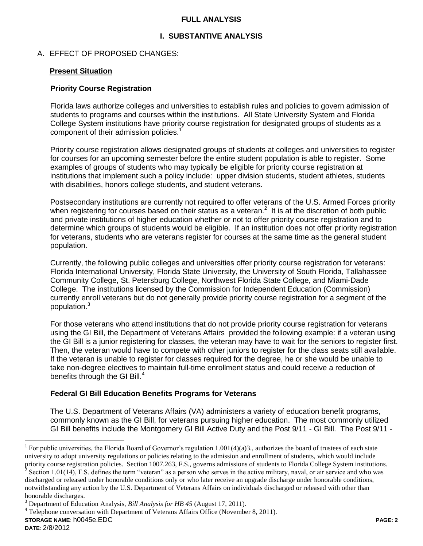### **FULL ANALYSIS**

# **I. SUBSTANTIVE ANALYSIS**

## A. EFFECT OF PROPOSED CHANGES:

#### **Present Situation**

### **Priority Course Registration**

Florida laws authorize colleges and universities to establish rules and policies to govern admission of students to programs and courses within the institutions. All State University System and Florida College System institutions have priority course registration for designated groups of students as a component of their admission policies.<sup>1</sup>

Priority course registration allows designated groups of students at colleges and universities to register for courses for an upcoming semester before the entire student population is able to register. Some examples of groups of students who may typically be eligible for priority course registration at institutions that implement such a policy include: upper division students, student athletes, students with disabilities, honors college students, and student veterans.

Postsecondary institutions are currently not required to offer veterans of the U.S. Armed Forces priority when registering for courses based on their status as a veteran. $2$  It is at the discretion of both public and private institutions of higher education whether or not to offer priority course registration and to determine which groups of students would be eligible. If an institution does not offer priority registration for veterans, students who are veterans register for courses at the same time as the general student population.

Currently, the following public colleges and universities offer priority course registration for veterans: Florida International University, Florida State University, the University of South Florida, Tallahassee Community College, St. Petersburg College, Northwest Florida State College, and Miami-Dade College. The institutions licensed by the Commission for Independent Education (Commission) currently enroll veterans but do not generally provide priority course registration for a segment of the population.<sup>3</sup>

For those veterans who attend institutions that do not provide priority course registration for veterans using the GI Bill, the Department of Veterans Affairs provided the following example: if a veteran using the GI Bill is a junior registering for classes, the veteran may have to wait for the seniors to register first. Then, the veteran would have to compete with other juniors to register for the class seats still available. If the veteran is unable to register for classes required for the degree, he or she would be unable to take non-degree electives to maintain full-time enrollment status and could receive a reduction of benefits through the GI Bill.<sup>4</sup>

## **Federal GI Bill Education Benefits Programs for Veterans**

The U.S. Department of Veterans Affairs (VA) administers a variety of education benefit programs, commonly known as the GI Bill, for veterans pursuing higher education. The most commonly utilized GI Bill benefits include the Montgomery GI Bill Active Duty and the Post 9/11 - GI Bill. The Post 9/11 -

notwithstanding any action by the U.S. Department of Veterans Affairs on individuals discharged or released with other than honorable discharges.

<sup>4</sup> Telephone conversation with Department of Veterans Affairs Office (November 8, 2011).

 $\overline{a}$ 

<sup>&</sup>lt;sup>1</sup> For public universities, the Florida Board of Governor's regulation 1.001(4)(a)3., authorizes the board of trustees of each state university to adopt university regulations or policies relating to the admission and enrollment of students, which would include priority course registration policies. Section 1007.263, F.S., governs admissions of students to Florida College System institutions.<br><sup>2</sup> Section 1.01(14), E.S. defines the term "veteren" as a person who serves in the acti Section 1.01(14), F.S. defines the term "veteran" as a person who serves in the active military, naval, or air service and who was discharged or released under honorable conditions only or who later receive an upgrade discharge under honorable conditions,

<sup>3</sup> Department of Education Analysis, *Bill Analysis for HB 45* (August 17, 2011).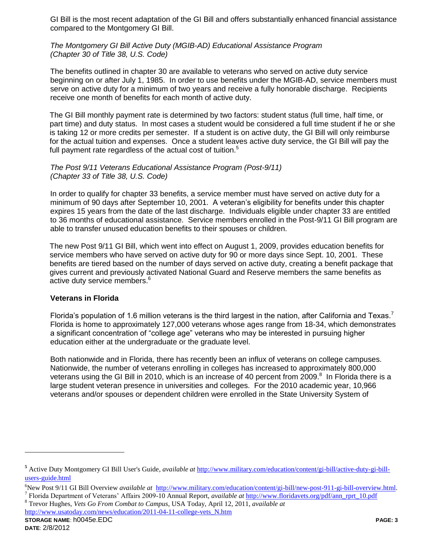GI Bill is the most recent adaptation of the GI Bill and offers substantially enhanced financial assistance compared to the Montgomery GI Bill.

*The Montgomery GI Bill Active Duty (MGIB-AD) Educational Assistance Program (Chapter 30 of Title 38, U.S. Code)* 

The benefits outlined in chapter 30 are available to veterans who served on active duty service beginning on or after July 1, 1985. In order to use benefits under the MGIB-AD, service members must serve on active duty for a minimum of two years and receive a fully honorable discharge. Recipients receive one month of benefits for each month of active duty.

The GI Bill monthly payment rate is determined by two factors: student status (full time, half time, or part time) and duty status. In most cases a student would be considered a full time student if he or she is taking 12 or more credits per semester. If a student is on active duty, the GI Bill will only reimburse for the actual tuition and expenses. Once a student leaves active duty service, the GI Bill will pay the full payment rate regardless of the actual cost of tuition.<sup>5</sup>

*The Post 9/11 Veterans Educational Assistance Program (Post-9/11) (Chapter 33 of Title 38, U.S. Code)* 

In order to qualify for chapter 33 benefits, a service member must have served on active duty for a minimum of 90 days after September 10, 2001. A veteran's eligibility for benefits under this chapter expires 15 years from the date of the last discharge. Individuals eligible under chapter 33 are entitled to 36 months of educational assistance. Service members enrolled in the Post-9/11 GI Bill program are able to transfer unused education benefits to their spouses or children.

The new Post 9/11 GI Bill, which went into effect on August 1, 2009, provides education benefits for service members who have served on active duty for 90 or more days since Sept. 10, 2001. These benefits are tiered based on the number of days served on active duty, creating a benefit package that gives current and previously activated National Guard and Reserve members the same benefits as active duty service members.<sup>6</sup>

#### **Veterans in Florida**

Florida's population of 1.6 million veterans is the third largest in the nation, after California and Texas.<sup>7</sup> Florida is home to approximately 127,000 veterans whose ages range from 18-34, which demonstrates a significant concentration of "college age" veterans who may be interested in pursuing higher education either at the undergraduate or the graduate level.

Both nationwide and in Florida, there has recently been an influx of veterans on college campuses. Nationwide, the number of veterans enrolling in colleges has increased to approximately 800,000 veterans using the GI Bill in 2010, which is an increase of 40 percent from 2009. $8$  In Florida there is a large student veteran presence in universities and colleges. For the 2010 academic year, 10,966 veterans and/or spouses or dependent children were enrolled in the State University System of

<sup>8</sup> Trevor Hughes, *Vets Go From Combat to Campus*, USA Today, April 12, 2011, *available at* [http://www.usatoday.com/news/education/2011-04-11-college-vets\\_N.htm](http://www.usatoday.com/news/education/2011-04-11-college-vets_N.htm)

 $\overline{a}$ 

**<sup>5</sup>** Active Duty Montgomery GI Bill User's Guide, *available at* [http://www.military.com/education/content/gi-bill/active-duty-gi-bill](http://www.military.com/education/content/gi-bill/active-duty-gi-bill-users-guide.html)[users-guide.html](http://www.military.com/education/content/gi-bill/active-duty-gi-bill-users-guide.html)

<sup>6</sup>New Post 9/11 GI Bill Overview *available at* [http://www.military.com/education/content/gi-bill/new-post-911-gi-bill-overview.html.](http://www.military.com/education/content/gi-bill/new-post-911-gi-bill-overview.html) 7 Florida Department of Veterans' Affairs 2009-10 Annual Report, *available at* [http://www.floridavets.org/pdf/ann\\_rprt\\_10.pdf](http://www.floridavets.org/pdf/ann_rprt_10.pdf)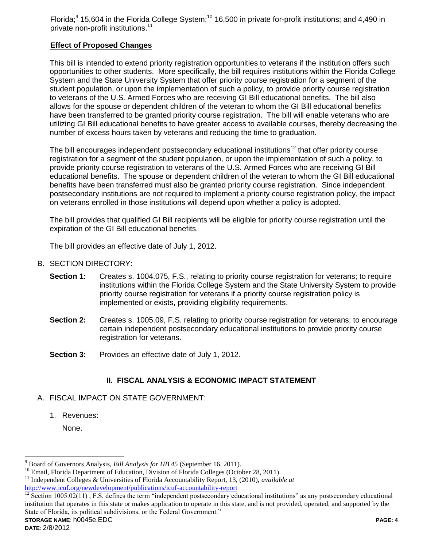Florida;<sup>9</sup> 15,604 in the Florida College System;<sup>10</sup> 16,500 in private for-profit institutions; and 4,490 in private non-profit institutions.<sup>11</sup>

# **Effect of Proposed Changes**

This bill is intended to extend priority registration opportunities to veterans if the institution offers such opportunities to other students. More specifically, the bill requires institutions within the Florida College System and the State University System that offer priority course registration for a segment of the student population, or upon the implementation of such a policy, to provide priority course registration to veterans of the U.S. Armed Forces who are receiving GI Bill educational benefits. The bill also allows for the spouse or dependent children of the veteran to whom the GI Bill educational benefits have been transferred to be granted priority course registration. The bill will enable veterans who are utilizing GI Bill educational benefits to have greater access to available courses, thereby decreasing the number of excess hours taken by veterans and reducing the time to graduation.

The bill encourages independent postsecondary educational institutions<sup>12</sup> that offer priority course registration for a segment of the student population, or upon the implementation of such a policy, to provide priority course registration to veterans of the U.S. Armed Forces who are receiving GI Bill educational benefits. The spouse or dependent children of the veteran to whom the GI Bill educational benefits have been transferred must also be granted priority course registration. Since independent postsecondary institutions are not required to implement a priority course registration policy, the impact on veterans enrolled in those institutions will depend upon whether a policy is adopted.

The bill provides that qualified GI Bill recipients will be eligible for priority course registration until the expiration of the GI Bill educational benefits.

The bill provides an effective date of July 1, 2012.

- B. SECTION DIRECTORY:
	- **Section 1:** Creates s. 1004.075, F.S., relating to priority course registration for veterans; to require institutions within the Florida College System and the State University System to provide priority course registration for veterans if a priority course registration policy is implemented or exists, providing eligibility requirements.
	- **Section 2:** Creates s. 1005.09, F.S. relating to priority course registration for veterans; to encourage certain independent postsecondary educational institutions to provide priority course registration for veterans.
	- **Section 3:** Provides an effective date of July 1, 2012.

# **II. FISCAL ANALYSIS & ECONOMIC IMPACT STATEMENT**

- A. FISCAL IMPACT ON STATE GOVERNMENT:
	- 1. Revenues:

None.

**STORAGE NAME**: h0045e.EDC **PAGE: 4**  $\frac{\text{ln}(p)}{12}$  Section 1005.02(11), F.S. defines the term "independent postsecondary educational institutions" as any postsecondary educational institution that operates in this state or makes application to operate in this state, and is not provided, operated, and supported by the State of Florida, its political subdivisions, or the Federal Government."

 $\overline{a}$ 

<sup>9</sup> Board of Governors Analysis, *Bill Analysis for HB 45* (September 16, 2011).

<sup>&</sup>lt;sup>10</sup> Email, Florida Department of Education, Division of Florida Colleges (October 28, 2011).

<sup>11</sup> Independent Colleges & Universities of Florida Accountability Report, 13, (2010), *available at*

<http://www.icuf.org/newdevelopment/publications/icuf-accountability-report>